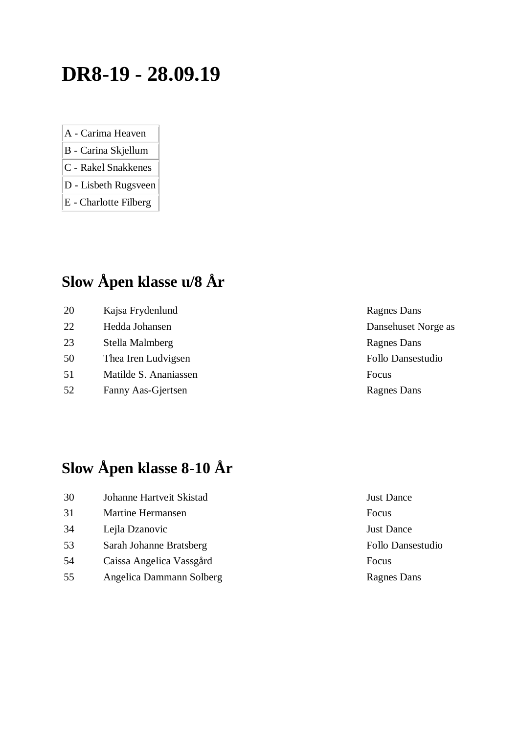## **DR8-19 - 28.09.19**

- A Carima Heaven
- B Carina Skjellum
- C Rakel Snakkenes
- D Lisbeth Rugsveen
- E Charlotte Filberg

## **Slow Åpen klasse u/8 År**

20 Kajsa Frydenlund Ragnes Dans 22 Hedda Johansen Dansehuset Norge as 23 Stella Malmberg Ragnes Dans 50 Thea Iren Ludvigsen Follo Dansestudio 51 Matilde S. Ananiassen Focus 52 Fanny Aas-Gjertsen Ragnes Dans

## **Slow Åpen klasse 8-10 År**

| 30 | Johanne Hartveit Skistad | Just L |
|----|--------------------------|--------|
| 31 | Martine Hermansen        | Focus  |
| 34 | Lejla Dzanovic           | Just L |
| 53 | Sarah Johanne Bratsberg  | Follo  |
| 54 | Caissa Angelica Vassgård | Focus  |
| 55 | Angelica Dammann Solberg | Ragne  |

Just Dance Just Dance Follo Dansestudio Ragnes Dans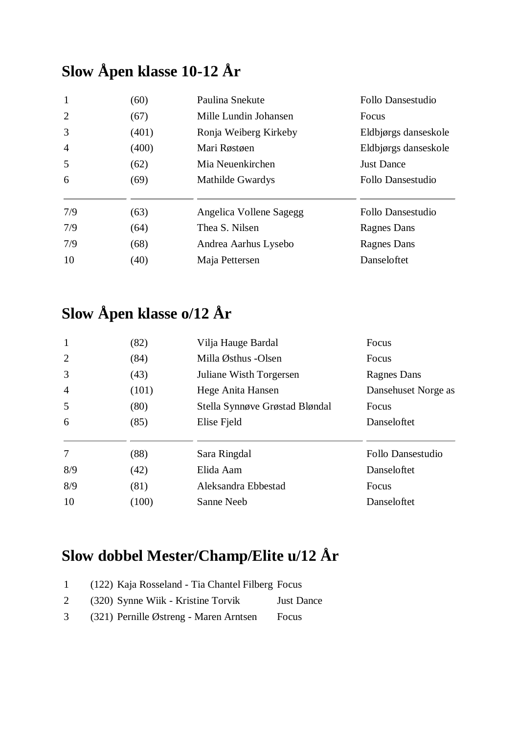## **Slow Åpen klasse 10-12 År**

| $\mathbf{1}$   | (60)  | Paulina Snekute         | Follo Dansestudio    |
|----------------|-------|-------------------------|----------------------|
| 2              | (67)  | Mille Lundin Johansen   | Focus                |
| 3              | (401) | Ronja Weiberg Kirkeby   | Eldbjørgs danseskole |
| $\overline{4}$ | (400) | Mari Røstøen            | Eldbjørgs danseskole |
| 5              | (62)  | Mia Neuenkirchen        | <b>Just Dance</b>    |
| 6              | (69)  | <b>Mathilde Gwardys</b> | Follo Dansestudio    |
| 7/9            | (63)  | Angelica Vollene Sagegg | Follo Dansestudio    |
| 7/9            | (64)  | Thea S. Nilsen          | Ragnes Dans          |
| 7/9            | (68)  | Andrea Aarhus Lysebo    | Ragnes Dans          |
| 10             | (40)  | Maja Pettersen          | Danseloftet          |

## **Slow Åpen klasse o/12 År**

| $\mathbf{1}$<br>(82)    | Vilja Hauge Bardal             | Focus               |
|-------------------------|--------------------------------|---------------------|
| 2<br>(84)               | Milla Østhus -Olsen            | Focus               |
| 3<br>(43)               | Juliane Wisth Torgersen        | <b>Ragnes Dans</b>  |
| $\overline{4}$<br>(101) | Hege Anita Hansen              | Dansehuset Norge as |
| 5<br>(80)               | Stella Synnøve Grøstad Bløndal | Focus               |
| (85)<br>6               | Elise Fjeld                    | Danseloftet         |
| 7<br>(88)               | Sara Ringdal                   | Follo Dansestudio   |
| 8/9<br>(42)             | Elida Aam                      | Danseloftet         |
| 8/9<br>(81)             | Aleksandra Ebbestad            | Focus               |
| 10<br>(100)             | Sanne Neeb                     | Danseloftet         |

# **Slow dobbel Mester/Champ/Elite u/12 År**

| $\mathbf{1}$ | (122) Kaja Rosseland - Tia Chantel Filberg Focus |                   |
|--------------|--------------------------------------------------|-------------------|
| 2            | (320) Synne Wijk - Kristine Torvik               | <b>Just Dance</b> |
| 3            | (321) Pernille Østreng - Maren Arntsen           | Focus             |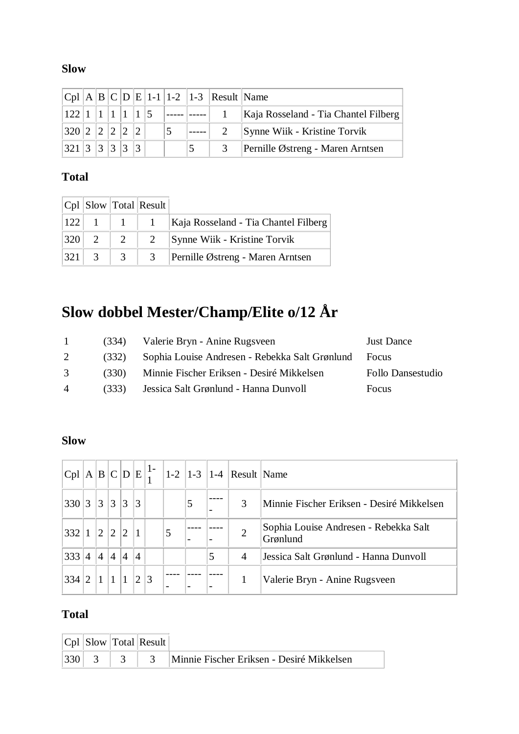#### **Slow**

|               |  |  |  |                | $ Cpl A B C D E 1-1 1-2 1-3 Result Name$ |                                                                                    |
|---------------|--|--|--|----------------|------------------------------------------|------------------------------------------------------------------------------------|
|               |  |  |  |                |                                          | 122   1   1   1   1   5   -----   -----   1   Kaja Rosseland - Tia Chantel Filberg |
| 320 2 2 2 2 2 |  |  |  | $ 5 $ $ -----$ |                                          | 2 Synne Wiik - Kristine Torvik                                                     |
| 321 3 3 3 3 3 |  |  |  |                |                                          | 3   Pernille Østreng - Maren Arntsen                                               |

### **Total**

|           | $ Cpl $ Slow Total Result |                                                        |
|-----------|---------------------------|--------------------------------------------------------|
|           |                           | 122   1   1   1   Kaja Rosseland - Tia Chantel Filberg |
|           | $ 320 $ 2 $ 2$ $ 2$       | Synne Wiik - Kristine Torvik                           |
| $ 321 $ 3 | $\overline{3}$            | Pernille Østreng - Maren Arntsen                       |

# **Slow dobbel Mester/Champ/Elite o/12 År**

| $\mathbf{L}$   | (334) | Valerie Bryn - Anine Rugsveen                  | <b>Just Dance</b> |
|----------------|-------|------------------------------------------------|-------------------|
| 2              | (332) | Sophia Louise Andresen - Rebekka Salt Grønlund | Focus             |
| 3              | (330) | Minnie Fischer Eriksen - Desiré Mikkelsen      | Follo Dansestudio |
| $\overline{4}$ | (333) | Jessica Salt Grønlund - Hanna Dunvoll          | Focus             |

#### **Slow**

| Cpl |                 |                |                |                 |                |   |   |   |   | $ \mathbf{A} \mathbf{B} \mathbf{C} \mathbf{D} \mathbf{E} _1^{1}$   1-2   1-3   1-4   Result   Name |                                                   |
|-----|-----------------|----------------|----------------|-----------------|----------------|---|---|---|---|----------------------------------------------------------------------------------------------------|---------------------------------------------------|
| 330 | $\vert 3 \vert$ | 3              | $\overline{3}$ | $\vert 3 \vert$ | $\vert$ 3      |   |   | 5 |   | 3                                                                                                  | Minnie Fischer Eriksen - Desiré Mikkelsen         |
| 332 |                 | $^{\prime}2$   | $\overline{2}$ | $\overline{2}$  |                |   | 5 |   |   | 2                                                                                                  | Sophia Louise Andresen - Rebekka Salt<br>Grønlund |
| 333 | $\overline{4}$  | $\overline{4}$ | $\overline{4}$ | $\overline{4}$  | $\overline{4}$ |   |   |   | 5 | 4                                                                                                  | Jessica Salt Grønlund - Hanna Dunvoll             |
| 334 |                 |                |                |                 | $\overline{2}$ | 3 |   |   |   |                                                                                                    | Valerie Bryn - Anine Rugsveen                     |

|  | $ Cpl $ Slow Total Result |                                           |
|--|---------------------------|-------------------------------------------|
|  |                           | Minnie Fischer Eriksen - Desiré Mikkelsen |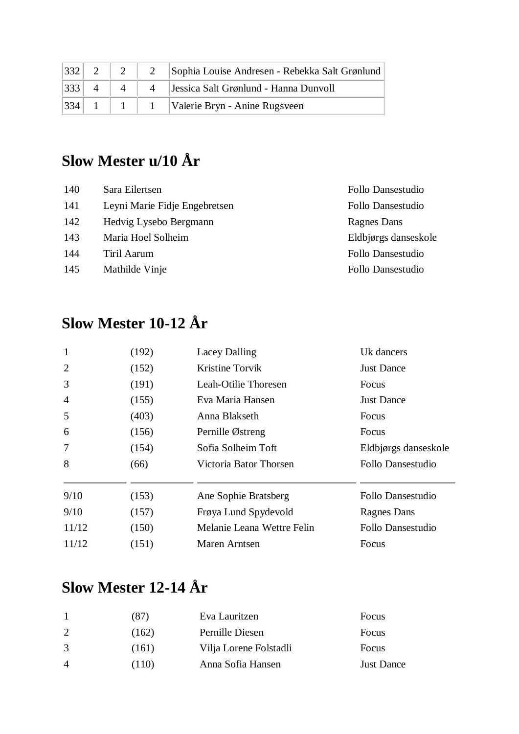| 332 |  | 2   Sophia Louise Andresen - Rebekka Salt Grønlund |
|-----|--|----------------------------------------------------|
| 333 |  | 4   Jessica Salt Grønlund - Hanna Dunvoll          |
|     |  | $ 334 $ 1   1   1   Valerie Bryn - Anine Rugsveen  |

## **Slow Mester u/10 År**

| 140 | Sara Eilertsen                | Follo Dansestudio    |
|-----|-------------------------------|----------------------|
| 141 | Leyni Marie Fidje Engebretsen | Follo Dansestudio    |
| 142 | Hedvig Lysebo Bergmann        | Ragnes Dans          |
| 143 | Maria Hoel Solheim            | Eldbjørgs danseskole |
| 144 | Tiril Aarum                   | Follo Dansestudio    |
| 145 | Mathilde Vinje                | Follo Dansestudio    |
|     |                               |                      |

## **Slow Mester 10-12 År**

| $\mathbf{1}$   | (192) | <b>Lacey Dalling</b>       | Uk dancers           |
|----------------|-------|----------------------------|----------------------|
| $\overline{2}$ | (152) | Kristine Torvik            | <b>Just Dance</b>    |
| 3              | (191) | Leah-Otilie Thoresen       | Focus                |
| $\overline{4}$ | (155) | Eva Maria Hansen           | <b>Just Dance</b>    |
| 5              | (403) | Anna Blakseth              | <b>Focus</b>         |
| 6              | (156) | Pernille Østreng           | Focus                |
| 7              | (154) | Sofia Solheim Toft         | Eldbjørgs danseskole |
| 8              | (66)  | Victoria Bator Thorsen     | Follo Dansestudio    |
| 9/10           | (153) | Ane Sophie Bratsberg       | Follo Dansestudio    |
| 9/10           | (157) | Frøya Lund Spydevold       | Ragnes Dans          |
| 11/12          | (150) | Melanie Leana Wettre Felin | Follo Dansestudio    |
| 11/12          | (151) | Maren Arntsen              | Focus                |

## **Slow Mester 12-14 År**

|                | (87)  | Eva Lauritzen          | Focus             |
|----------------|-------|------------------------|-------------------|
|                | (162) | Pernille Diesen        | Focus             |
|                | (161) | Vilja Lorene Folstadli | Focus             |
| $\overline{4}$ | (110) | Anna Sofia Hansen      | <b>Just Dance</b> |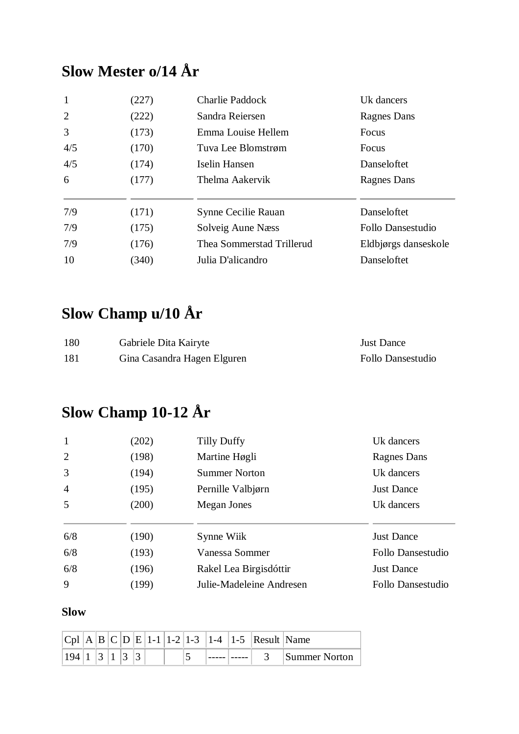## **Slow Mester o/14 År**

| (227) | <b>Charlie Paddock</b>    | Uk dancers           |
|-------|---------------------------|----------------------|
| (222) | Sandra Reiersen           | Ragnes Dans          |
| (173) | Emma Louise Hellem        | Focus                |
| (170) | Tuva Lee Blomstrøm        | Focus                |
| (174) | Iselin Hansen             | Danseloftet          |
| (177) | Thelma Aakervik           | Ragnes Dans          |
| (171) | Synne Cecilie Rauan       | Danseloftet          |
| (175) | Solveig Aune Næss         | Follo Dansestudio    |
| (176) | Thea Sommerstad Trillerud | Eldbjørgs danseskole |
| (340) | Julia D'alicandro         | Danseloftet          |
|       |                           |                      |

# **Slow Champ u/10 År**

| 180 | Gabriele Dita Kairyte       | <b>Just Dance</b> |
|-----|-----------------------------|-------------------|
| 181 | Gina Casandra Hagen Elguren | Follo Dansestudio |

## **Slow Champ 10-12 År**

| $\mathbf{1}$   | (202) | <b>Tilly Duffy</b>       | Uk dancers        |
|----------------|-------|--------------------------|-------------------|
| 2              | (198) | Martine Høgli            | Ragnes Dans       |
| 3              | (194) | <b>Summer Norton</b>     | Uk dancers        |
| $\overline{4}$ | (195) | Pernille Valbjørn        | <b>Just Dance</b> |
| 5              | (200) | Megan Jones              | Uk dancers        |
|                |       |                          |                   |
| 6/8            | (190) | Synne Wiik               | <b>Just Dance</b> |
| 6/8            | (193) | Vanessa Sommer           | Follo Dansestudio |
| 6/8            | (196) | Rakel Lea Birgisdóttir   | <b>Just Dance</b> |
| 9              | (199) | Julie-Madeleine Andresen | Follo Dansestudio |

| $ C_{D} $ |  |  |  |  |  | $ A B C D E 1-1 1-2 1-3 1-4 1-5 Result Name$ |               |
|-----------|--|--|--|--|--|----------------------------------------------|---------------|
|           |  |  |  |  |  |                                              | Summer Norton |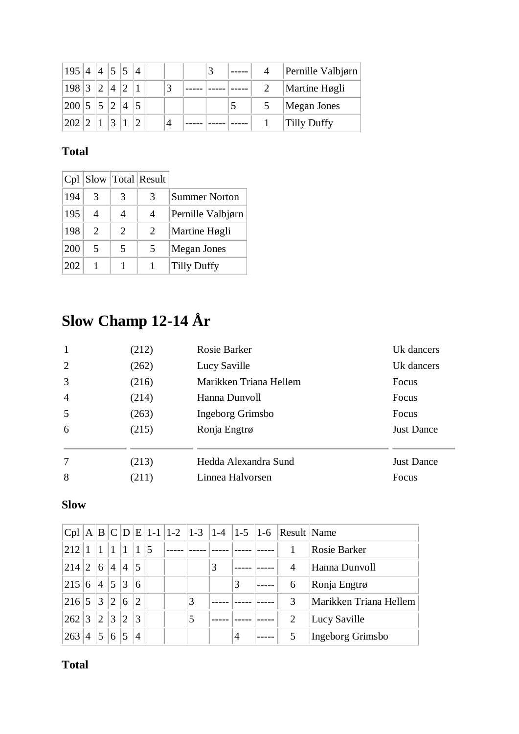| $195 \mid 4 \mid 4 \mid 5 \mid 5 \mid 4$ |  |             |                               |  |  |  | Pernille Valbjørn  |
|------------------------------------------|--|-------------|-------------------------------|--|--|--|--------------------|
| $198$ 3 2 4 2 1                          |  |             |                               |  |  |  | Martine Høgli      |
| $ 200 $ 5   5   2   4                    |  |             |                               |  |  |  | <b>Megan Jones</b> |
| 202 2                                    |  | $ 3\rangle$ | $\vert 1 \vert \vert 2 \vert$ |  |  |  | Tilly Duffy        |

| Cpl |                             |                       | Slow   Total   Result |                      |
|-----|-----------------------------|-----------------------|-----------------------|----------------------|
| 194 | 3                           | 3                     | 3                     | <b>Summer Norton</b> |
| 195 | 4                           | 4                     | 4                     | Pernille Valbjørn    |
| 198 | $\mathcal{D}_{\mathcal{L}}$ | $\mathcal{D}_{\cdot}$ | 2                     | Martine Høgli        |
| 200 | 5                           | 5                     | 5                     | Megan Jones          |
| 202 |                             |                       |                       | <b>Tilly Duffy</b>   |

# **Slow Champ 12-14 År**

| 1              | (212) | Rosie Barker           | Uk dancers        |
|----------------|-------|------------------------|-------------------|
| 2              | (262) | Lucy Saville           | Uk dancers        |
| $\overline{3}$ | (216) | Marikken Triana Hellem | Focus             |
| $\overline{4}$ | (214) | Hanna Dunvoll          | Focus             |
| 5              | (263) | Ingeborg Grimsbo       | Focus             |
| 6              | (215) | Ronja Engtrø           | <b>Just Dance</b> |
|                |       |                        |                   |
| 7              | (213) | Hedda Alexandra Sund   | <b>Just Dance</b> |
| 8              | (211) | Linnea Halvorsen       | Focus             |

### **Slow**

| Cpl | A B         |                |                |                |                |   |   |   |   | $ C D E 1-1 1-2 1-3 1-4 1-5 1-6 Result Name$ |                        |
|-----|-------------|----------------|----------------|----------------|----------------|---|---|---|---|----------------------------------------------|------------------------|
| 212 |             |                |                | 1              |                | 5 |   |   |   |                                              | <b>Rosie Barker</b>    |
| 214 | $2^{\circ}$ | 6              | $\overline{A}$ | $\overline{4}$ | 5              |   |   | 3 |   | 4                                            | Hanna Dunvoll          |
| 215 | 6           | $\overline{4}$ | 5              | 3              | 6              |   |   |   | 3 | 6                                            | Ronja Engtrø           |
| 216 | 5           | 3              | 12             | 6              | $\overline{2}$ |   | 3 |   |   | 3                                            | Marikken Triana Hellem |
| 262 | 3           | $\overline{2}$ | 3              | $\overline{2}$ | 3              |   |   |   |   | 2                                            | Lucy Saville           |
| 263 | 4           | 5              | 6              | 5              | $\overline{4}$ |   |   |   | 4 |                                              | Ingeborg Grimsbo       |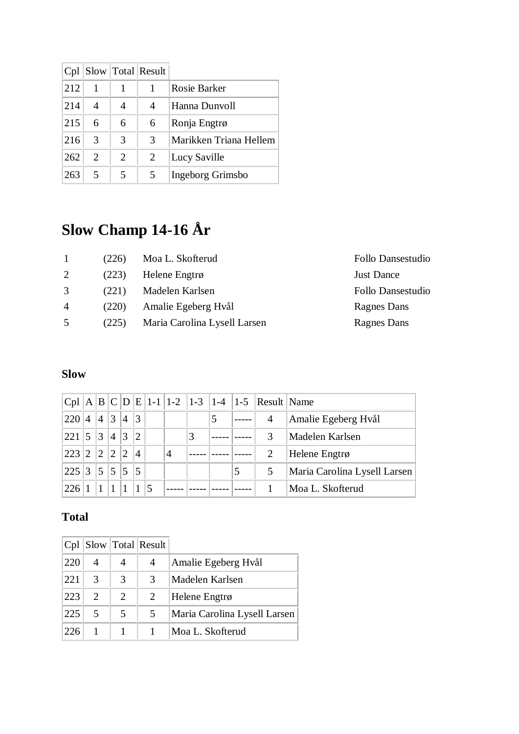| Cpl |                       |                             | Slow   Total   Result |                        |
|-----|-----------------------|-----------------------------|-----------------------|------------------------|
| 212 |                       |                             |                       | Rosie Barker           |
| 214 | 4                     |                             | 4                     | Hanna Dunvoll          |
| 215 | 6                     | 6                           | 6                     | Ronja Engtrø           |
| 216 | 3                     | 3                           | 3                     | Marikken Triana Hellem |
| 262 | $\mathcal{D}_{\cdot}$ | $\mathcal{D}_{\mathcal{L}}$ | 2                     | Lucy Saville           |
| 263 | 5                     | 5                           | 5                     | Ingeborg Grimsbo       |

# **Slow Champ 14-16 År**

|                | (226) | Moa L. Skofterud             | Follo Dansestudio |
|----------------|-------|------------------------------|-------------------|
| 2              | (223) | Helene Engtrø                | <b>Just Dance</b> |
| 3              | (221) | Madelen Karlsen              | Follo Dansestudio |
| $\overline{A}$ | (220) | Amalie Egeberg Hvål          | Ragnes Dans       |
| 5              | (225) | Maria Carolina Lysell Larsen | Ragnes Dans       |
|                |       |                              |                   |

### **Slow**

|     |             |                |                |                |                |   |   |   | $ Cpl A B C D E 1-1 1-2 1-3 1-4 1-5 Result Name$ |                              |
|-----|-------------|----------------|----------------|----------------|----------------|---|---|---|--------------------------------------------------|------------------------------|
| 220 | 4           | $\overline{4}$ | 3              | $\overline{A}$ | 3              |   |   |   | 4                                                | Amalie Egeberg Hvål          |
| 221 | 5           | 3              | $\overline{4}$ | 3              | $\overline{2}$ |   | 3 |   | 3                                                | Madelen Karlsen              |
| 223 | $2^{\circ}$ | $^{\circ}2$    | $^{\prime}2$   | $^{\prime}2$   | $\overline{4}$ | 4 |   |   |                                                  | Helene Engtrø                |
| 225 | 3           | 5              | 5              | 5              | 5              |   |   | 5 | 5                                                | Maria Carolina Lysell Larsen |
| 226 |             |                |                |                |                |   |   |   |                                                  | Moa L. Skofterud             |

| Cpl  |                             |   | $S$ low   Total   Result |                              |
|------|-----------------------------|---|--------------------------|------------------------------|
| 220  | 4                           | 4 | 4                        | Amalie Egeberg Hvål          |
| 22.1 | 3                           | 3 | 3                        | Madelen Karlsen              |
| 223  | $\mathcal{D}_{\mathcal{L}}$ | 2 | 2                        | Helene Engtrø                |
| 225  | 5                           |   | 5                        | Maria Carolina Lysell Larsen |
| 226  |                             |   |                          | Moa L. Skofterud             |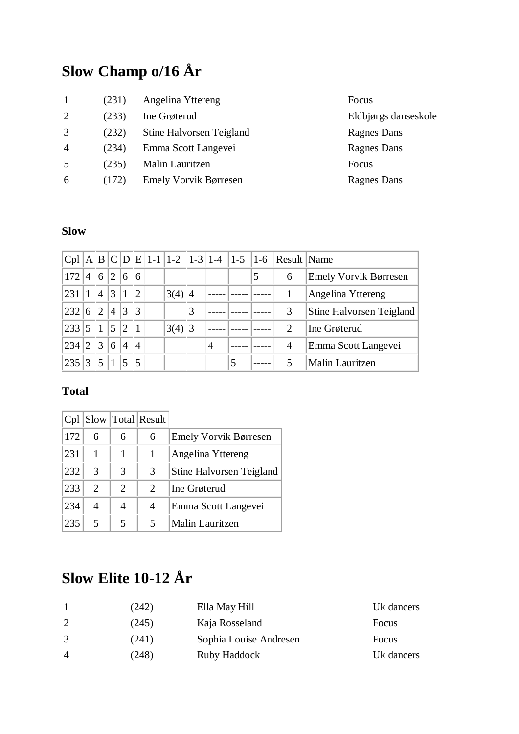## **Slow Champ o/16 År**

| 1              | (231) | Angelina Yttereng            | Focus |
|----------------|-------|------------------------------|-------|
| 2              | (233) | Ine Grøterud                 | Eldbj |
| 3              | (232) | Stine Halvorsen Teigland     | Ragne |
| $\overline{4}$ | (234) | Emma Scott Langevei          | Ragne |
| 5              | (235) | Malin Lauritzen              | Focus |
| 6              | (172) | <b>Emely Vorvik Børresen</b> | Ragne |
|                |       |                              |       |

Eldbjørgs danseskole Ragnes Dans Ragnes Dans Ragnes Dans

#### **Slow**

| Cpl |                | A B            |             | C D            |                | $ E $ 1-1  1-2  1-3  1-4  1-5  1-6 |           |   |   |   | Result Name    |                          |
|-----|----------------|----------------|-------------|----------------|----------------|------------------------------------|-----------|---|---|---|----------------|--------------------------|
| 172 | 4              | 6              | $2^{\circ}$ | 6              | 6              |                                    |           |   |   | 5 | 6              | Emely Vorvik Børresen    |
| 231 |                | $\overline{4}$ | 3           | 1              | $\overline{2}$ | 3(4)                               | $\vert 4$ |   |   |   |                | Angelina Yttereng        |
| 232 | 6              | $\overline{2}$ | 4           | 3              | 3              |                                    | 3         |   |   |   | 3              | Stine Halvorsen Teigland |
| 233 | 5              | $\mathbf{1}$   | 5           | $ 2\rangle$    |                | 3(4)                               | $\vert 3$ |   |   |   | $\overline{2}$ | Ine Grøterud             |
| 234 | $\overline{2}$ | 3              | 6           | $\overline{4}$ | $\overline{4}$ |                                    |           | 4 |   |   | $\overline{4}$ | Emma Scott Langevei      |
| 235 | 3              | 5              | 1           | 5              | 5              |                                    |           |   | 5 |   |                | Malin Lauritzen          |

#### **Total**

| Cpl |                |                         | Slow   Total   Result |                                 |
|-----|----------------|-------------------------|-----------------------|---------------------------------|
| 172 | 6              | 6                       | 6                     | <b>Emely Vorvik Børresen</b>    |
| 231 |                |                         |                       | Angelina Yttereng               |
| 232 | 3              | 3                       | 3                     | <b>Stine Halvorsen Teigland</b> |
| 233 | $\mathfrak{D}$ | 2                       | 2                     | Ine Grøterud                    |
| 234 | 4              | 4                       | 4                     | Emma Scott Langevei             |
| 235 | 5              | $\overline{\mathbf{5}}$ | 5                     | <b>Malin Lauritzen</b>          |

# **Slow Elite 10-12 År**

|                | (242) | Ella May Hill          | Uk dancers |
|----------------|-------|------------------------|------------|
|                | (245) | Kaja Rosseland         | Focus      |
| 3              | (241) | Sophia Louise Andresen | Focus      |
| $\overline{4}$ | (248) | Ruby Haddock           | Uk dancers |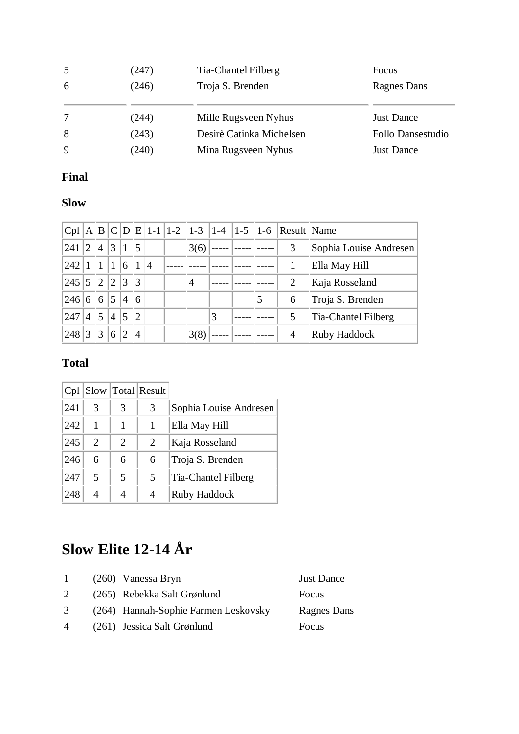| 5 | (247) | Tia-Chantel Filberg      | Focus             |
|---|-------|--------------------------|-------------------|
| 6 | (246) | Troja S. Brenden         | Ragnes Dans       |
|   |       |                          |                   |
| 7 | (244) | Mille Rugsveen Nyhus     | <b>Just Dance</b> |
| 8 | (243) | Desirè Catinka Michelsen | Follo Dansestudio |
| 9 | (240) | Mina Rugsveen Nyhus      | <b>Just Dance</b> |

### **Final**

#### **Slow**

| Cpl |              |                |                |                |                 |                |      |   |   | A  B  C  D  E   1-1   1-2   1-3   1-4   1-5   1-6   Result   Name |                        |
|-----|--------------|----------------|----------------|----------------|-----------------|----------------|------|---|---|-------------------------------------------------------------------|------------------------|
| 241 | $^{\prime}2$ | $\overline{4}$ | 3              | 1              | $\overline{5}$  |                | 3(6) |   |   | 3                                                                 | Sophia Louise Andresen |
| 242 |              | 1              | 1              | 6              | $\vert$ 1       | $\overline{A}$ |      |   |   |                                                                   | Ella May Hill          |
| 245 | 5            | $\overline{2}$ | $\overline{2}$ | 3              | 3               |                | 4    |   |   | 2                                                                 | Kaja Rosseland         |
| 246 | 6            | 6              | 5              | $\overline{4}$ | $6\overline{6}$ |                |      |   | 5 | 6                                                                 | Troja S. Brenden       |
| 247 | 4            | 5              | $\overline{4}$ | 5              | $\overline{2}$  |                |      | 3 |   | 5                                                                 | Tia-Chantel Filberg    |
| 248 | 3            | 3              | 6              | $\overline{2}$ | $\overline{4}$  |                | 3(8) |   |   | $\overline{4}$                                                    | Ruby Haddock           |

### **Total**

| Cpl |                             |                             | $S$ low $T$ otal Result |                        |
|-----|-----------------------------|-----------------------------|-------------------------|------------------------|
| 241 | 3                           | 3                           | 3                       | Sophia Louise Andresen |
| 242 |                             |                             |                         | Ella May Hill          |
| 245 | $\mathcal{D}_{\mathcal{L}}$ | $\mathcal{D}_{\mathcal{L}}$ | 2                       | Kaja Rosseland         |
| 246 | 6                           | 6                           | 6                       | Troja S. Brenden       |
| 247 | 5                           | $\overline{\phantom{1}}$    | 5                       | Tia-Chantel Filberg    |
| 248 | 4                           |                             | 4                       | Ruby Haddock           |

## **Slow Elite 12-14 År**

| Ragnes Dans |
|-------------|
|             |
|             |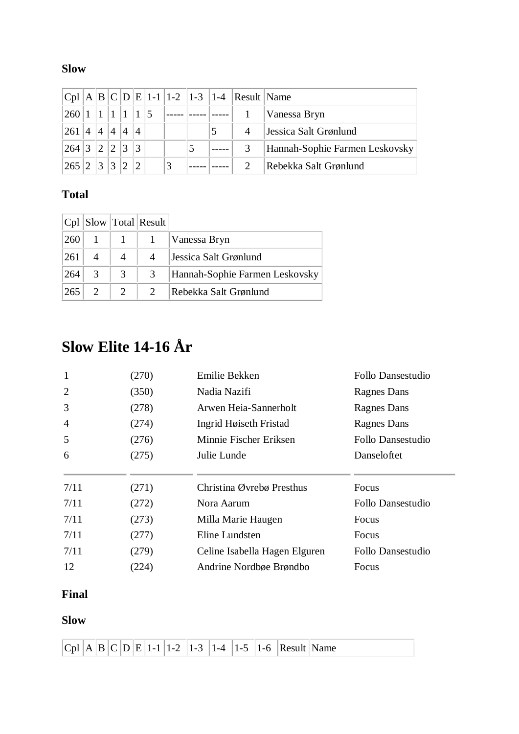### **Slow**

|       |                 |                |   |                |                |   |   | $ Cpl A B C D E 1-1 1-2 1-3 1-4 Result Name$ |                                |
|-------|-----------------|----------------|---|----------------|----------------|---|---|----------------------------------------------|--------------------------------|
| 260 1 |                 |                |   |                |                |   |   |                                              | Vanessa Bryn                   |
| 261   | $^{\dagger}4$ . | $\overline{4}$ | 4 | 14             | $\overline{4}$ |   | 5 |                                              | Jessica Salt Grønlund          |
| 264   | $ 3\rangle$     | 12             | 2 | $\mathbf{13}$  | $\mathcal{R}$  |   |   |                                              | Hannah-Sophie Farmen Leskovsky |
| 265 2 |                 | 3              | 3 | $\overline{2}$ | $\mathcal{D}$  | 3 |   |                                              | Rebekka Salt Grønlund          |

#### **Total**

|     |               |   | $ Cpl $ Slow $ Total $ Result |                                |
|-----|---------------|---|-------------------------------|--------------------------------|
| 260 |               |   |                               | Vanessa Bryn                   |
| 261 |               | 4 | 4                             | Jessica Salt Grønlund          |
| 264 | $\mathcal{R}$ | 3 | 3                             | Hannah-Sophie Farmen Leskovsky |
| 265 |               | 2 |                               | Rebekka Salt Grønlund          |

## **Slow Elite 14-16 År**

| 1              | (270) | Emilie Bekken                 | Follo Dansestudio |
|----------------|-------|-------------------------------|-------------------|
| $\overline{2}$ | (350) | Nadia Nazifi                  | Ragnes Dans       |
| 3              | (278) | Arwen Heia-Sannerholt         | Ragnes Dans       |
| $\overline{4}$ | (274) | Ingrid Høiseth Fristad        | Ragnes Dans       |
| 5              | (276) | Minnie Fischer Eriksen        | Follo Dansestudio |
| 6              | (275) | Julie Lunde                   | Danseloftet       |
| 7/11           | (271) | Christina Øvrebø Presthus     | Focus             |
| 7/11           | (272) | Nora Aarum                    | Follo Dansestudio |
| 7/11           | (273) | Milla Marie Haugen            | Focus             |
| 7/11           | (277) | Eline Lundsten                | Focus             |
| 7/11           | (279) | Celine Isabella Hagen Elguren | Follo Dansestudio |
| 12             | (224) | Andrine Nordbøe Brøndbo       | Focus             |

### **Final**

|  |  |  |  |  |  | $ C_{D} $ A $ B $ $C$ $ D $ $E$   1-1   1-2   1-3   1-4   1-5   1-6   Result   Name |  |
|--|--|--|--|--|--|-------------------------------------------------------------------------------------|--|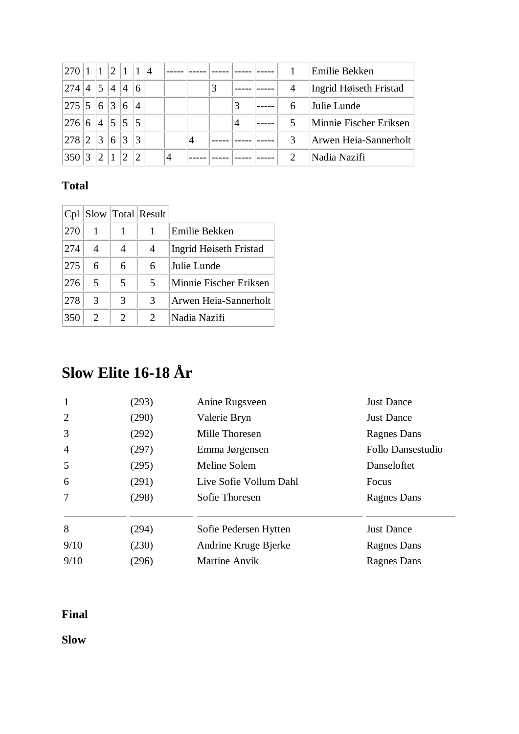| 270 1       |     | $ 1\rangle$   |   | 2 1 1           |                | 14 |   |   |   |                | Emilie Bekken          |
|-------------|-----|---------------|---|-----------------|----------------|----|---|---|---|----------------|------------------------|
| 274         | 4 5 |               | 4 | $\vert 4 \vert$ | 6              |    |   |   |   | $\overline{4}$ | Ingrid Høiseth Fristad |
| 275 5 6 3   |     |               |   | 6               | $\overline{4}$ |    |   |   | 3 | 6              | Julie Lunde            |
| 276 6       |     |               |   | 4 5 5 5         |                |    |   |   | 4 | 5              | Minnie Fischer Eriksen |
| $278$  2  3 |     |               | 6 | $\overline{3}$  | 3              |    |   | 4 |   | 3              | Arwen Heia-Sannerholt  |
| 350         |     | $\mathcal{D}$ |   |                 | $\mathfrak{D}$ |    | 4 |   |   |                | Nadia Nazifi           |

| Cpl |   |   | Slow   Total   Result |                        |
|-----|---|---|-----------------------|------------------------|
| 270 | 1 |   |                       | Emilie Bekken          |
| 274 | 4 |   | 4                     | Ingrid Høiseth Fristad |
| 275 | 6 | 6 | 6                     | Julie Lunde            |
| 276 | 5 | 5 | 5                     | Minnie Fischer Eriksen |
| 278 | 3 | 3 | 3                     | Arwen Heia-Sannerholt  |
| 350 | 2 | 2 | 2                     | Nadia Nazifi           |

# **Slow Elite 16-18 År**

| $\mathbf{1}$   | (293) | Anine Rugsveen         | <b>Just Dance</b> |
|----------------|-------|------------------------|-------------------|
| 2              | (290) | Valerie Bryn           | <b>Just Dance</b> |
| 3              | (292) | Mille Thoresen         | Ragnes Dans       |
| $\overline{4}$ | (297) | Emma Jørgensen         | Follo Dansestudio |
| 5              | (295) | Meline Solem           | Danseloftet       |
| 6              | (291) | Live Sofie Vollum Dahl | Focus             |
| $\overline{7}$ | (298) | Sofie Thoresen         | Ragnes Dans       |
| 8              | (294) | Sofie Pedersen Hytten  | <b>Just Dance</b> |
| 9/10           | (230) | Andrine Kruge Bjerke   | Ragnes Dans       |
| 9/10           | (296) | <b>Martine Anvik</b>   | Ragnes Dans       |

#### **Final**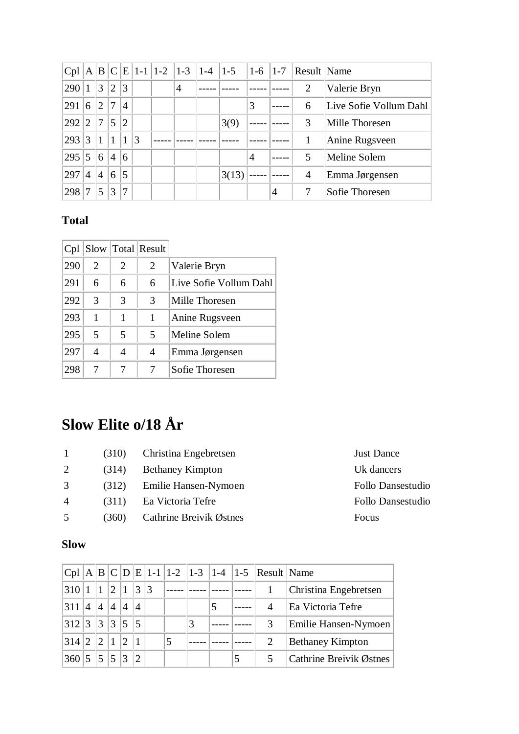| Cpl |                |                |                |                |   |   | A   B   C   E   1-1   1-2   1-3   1-4   1-5 | $ 1-6 $ | $ 1-7 $ | Result Name    |                        |
|-----|----------------|----------------|----------------|----------------|---|---|---------------------------------------------|---------|---------|----------------|------------------------|
| 290 |                | 3              | $\overline{2}$ | 3              |   | 4 |                                             |         |         | 2              | Valerie Bryn           |
| 291 | 6              | 2              | 7              | $\overline{4}$ |   |   |                                             | 3       |         | 6              | Live Sofie Vollum Dahl |
| 292 | $2^{\circ}$    | $\overline{7}$ | 5              | 2              |   |   | 3(9)                                        |         |         | 3              | Mille Thoresen         |
| 293 | 3              | $\mathbf{1}$   | 1              |                | 3 |   |                                             |         |         |                | Anine Rugsveen         |
| 295 | 5              | 6              | $\overline{4}$ | 6              |   |   |                                             | 4       |         | 5              | Meline Solem           |
| 297 | $\overline{A}$ | $\overline{4}$ | 6              | 5              |   |   | 3(13)                                       |         |         | $\overline{4}$ | Emma Jørgensen         |
| 298 |                | 5              | 3              | 7              |   |   |                                             |         | 4       | 7              | Sofie Thoresen         |

| Cpl |   |   | Slow   Total   Result |                        |
|-----|---|---|-----------------------|------------------------|
| 290 | 2 | 2 | 2                     | Valerie Bryn           |
| 291 | 6 | 6 | 6                     | Live Sofie Vollum Dahl |
| 292 | 3 | 3 | 3                     | Mille Thoresen         |
| 293 | 1 | 1 | 1                     | Anine Rugsveen         |
| 295 | 5 | 5 | 5                     | Meline Solem           |
| 297 | 4 | 4 | 4                     | Emma Jørgensen         |
| 298 | 7 |   |                       | Sofie Thoresen         |

# **Slow Elite o/18 År**

| $\overline{1}$ | (310) | Christina Engebretsen   | <b>Just Dance</b> |
|----------------|-------|-------------------------|-------------------|
| 2              | (314) | <b>Bethaney Kimpton</b> | Uk dancers        |
| 3              | (312) | Emilie Hansen-Nymoen    | Follo Dansestudio |
| $\overline{4}$ | (311) | Ea Victoria Tefre       | Follo Dansestudio |
| .5             | (360) | Cathrine Breivik Østnes | Focus             |

| <b>Just Dance</b>        |
|--------------------------|
| <b>Uk</b> dancers        |
| <b>Follo Dansestudio</b> |
| Follo Dansestudio        |
| Focus                    |

|       |                |                 |                 |               |                             |    |   |   |   | Cpl   A   B   C   D   E   1-1   1-2   1-3   1-4   1-5   Result   Name |                         |
|-------|----------------|-----------------|-----------------|---------------|-----------------------------|----|---|---|---|-----------------------------------------------------------------------|-------------------------|
| 310   |                | $\mathbf{1}$    | $ 2\rangle$     | $\mathbf{1}$  | 3                           | 13 |   |   |   |                                                                       | Christina Engebretsen   |
| 311 l | $\overline{4}$ | $\overline{4}$  | $\vert 4 \vert$ | 4             | $\overline{A}$              |    |   |   |   |                                                                       | Ea Victoria Tefre       |
| 312 3 |                | $\vert 3 \vert$ | 3 5             |               | $\overline{5}$              |    |   | 3 |   | 3                                                                     | Emilie Hansen-Nymoen    |
| 314 2 |                | $\overline{2}$  | 11              | $\mathcal{D}$ |                             |    | 5 |   |   |                                                                       | <b>Bethaney Kimpton</b> |
| 360   |                | 5 <sup>5</sup>  | 15              | 3             | $\mathcal{D}_{\mathcal{A}}$ |    |   |   | 5 |                                                                       | Cathrine Breivik Østnes |